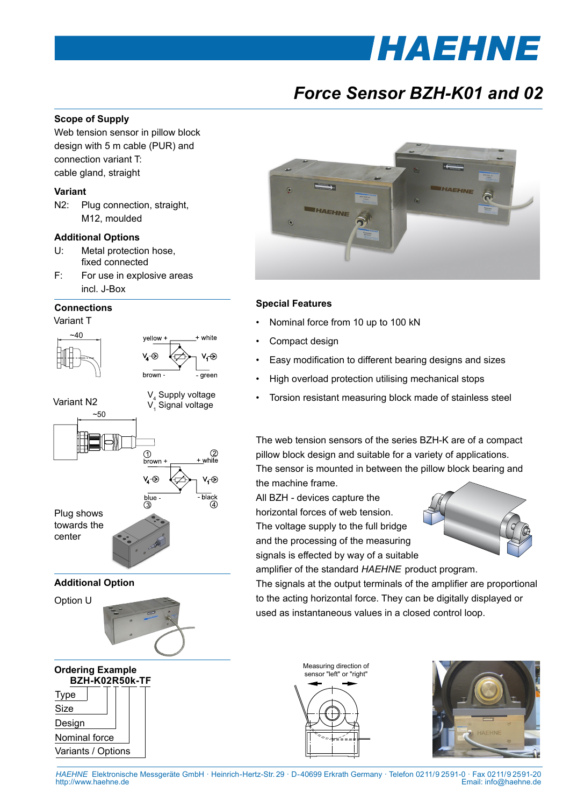# *HAEHNE*

## *Force Sensor BZH-K01 and 02*

#### **Scope of Supply**

Web tension sensor in pillow block design with 5 m cable (PUR) and connection variant T: cable gland, straight

#### **Variant**

N2: Plug connection, straight, M12, moulded

#### **Additional Options**

- U: Metal protection hose, fixed connected
- F: For use in explosive areas incl. J-Box

#### **Connections**

Variant T

Size Design

Nominal force Variants / Options





#### **Special Features**

- Nominal force from 10 up to 100 kN
- Compact design
- Easy modification to different bearing designs and sizes
- High overload protection utilising mechanical stops
- Torsion resistant measuring block made of stainless steel

The web tension sensors of the series BZH-K are of a compact pillow block design and suitable for a variety of applications. The sensor is mounted in between the pillow block bearing and the machine frame.

All BZH - devices capture the horizontal forces of web tension. The voltage supply to the full bridge and the processing of the measuring signals is effected by way of a suitable



amplifier of the standard *HAEHNE* product program. The signals at the output terminals of the amplifier are proportional to the acting horizontal force. They can be digitally displayed or used as instantaneous values in a closed control loop.

> Measuring direction of sensor "left" or "right"



*HAEHNE* Elektronische Messgeräte GmbH · Heinrich-Hertz-Str. 29 · D-40699 Erkrath Germany · Telefon 0211/9 25 91-0 · Fax 0211/9 25 91-20 Email: info@haehne.de